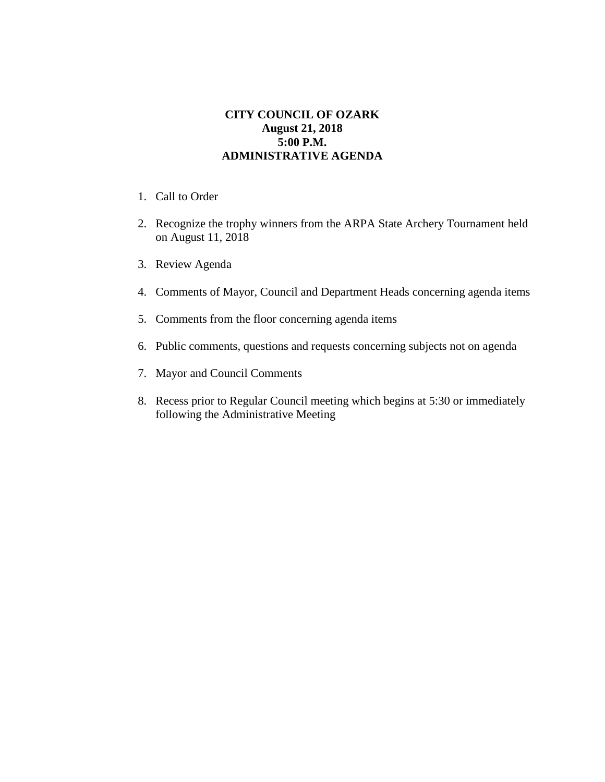## **CITY COUNCIL OF OZARK August 21, 2018 5:00 P.M. ADMINISTRATIVE AGENDA**

- 1. Call to Order
- 2. Recognize the trophy winners from the ARPA State Archery Tournament held on August 11, 2018
- 3. Review Agenda
- 4. Comments of Mayor, Council and Department Heads concerning agenda items
- 5. Comments from the floor concerning agenda items
- 6. Public comments, questions and requests concerning subjects not on agenda
- 7. Mayor and Council Comments
- 8. Recess prior to Regular Council meeting which begins at 5:30 or immediately following the Administrative Meeting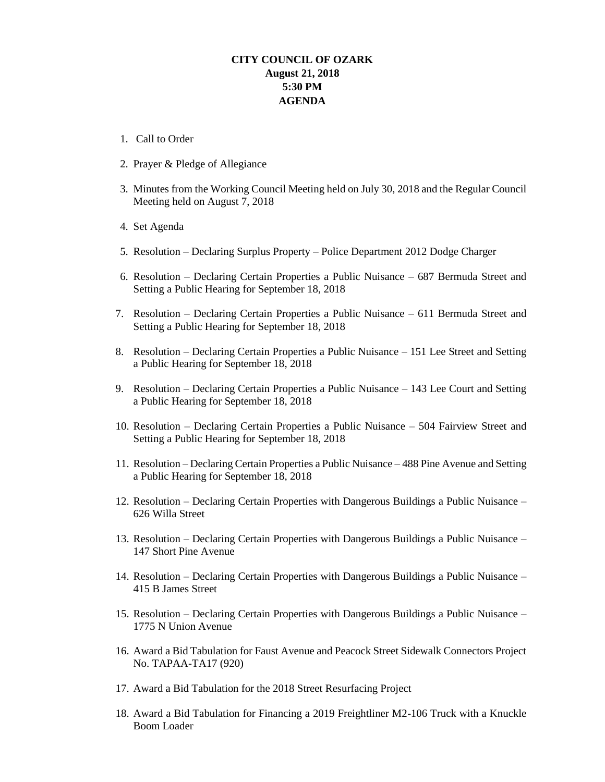## **CITY COUNCIL OF OZARK August 21, 2018 5:30 PM AGENDA**

- 1. Call to Order
- 2. Prayer & Pledge of Allegiance
- 3. Minutes from the Working Council Meeting held on July 30, 2018 and the Regular Council Meeting held on August 7, 2018
- 4. Set Agenda
- 5. Resolution Declaring Surplus Property Police Department 2012 Dodge Charger
- 6. Resolution Declaring Certain Properties a Public Nuisance 687 Bermuda Street and Setting a Public Hearing for September 18, 2018
- 7. Resolution Declaring Certain Properties a Public Nuisance 611 Bermuda Street and Setting a Public Hearing for September 18, 2018
- 8. Resolution Declaring Certain Properties a Public Nuisance 151 Lee Street and Setting a Public Hearing for September 18, 2018
- 9. Resolution Declaring Certain Properties a Public Nuisance 143 Lee Court and Setting a Public Hearing for September 18, 2018
- 10. Resolution Declaring Certain Properties a Public Nuisance 504 Fairview Street and Setting a Public Hearing for September 18, 2018
- 11. Resolution Declaring Certain Properties a Public Nuisance 488 Pine Avenue and Setting a Public Hearing for September 18, 2018
- 12. Resolution Declaring Certain Properties with Dangerous Buildings a Public Nuisance 626 Willa Street
- 13. Resolution Declaring Certain Properties with Dangerous Buildings a Public Nuisance 147 Short Pine Avenue
- 14. Resolution Declaring Certain Properties with Dangerous Buildings a Public Nuisance 415 B James Street
- 15. Resolution Declaring Certain Properties with Dangerous Buildings a Public Nuisance 1775 N Union Avenue
- 16. Award a Bid Tabulation for Faust Avenue and Peacock Street Sidewalk Connectors Project No. TAPAA-TA17 (920)
- 17. Award a Bid Tabulation for the 2018 Street Resurfacing Project
- 18. Award a Bid Tabulation for Financing a 2019 Freightliner M2-106 Truck with a Knuckle Boom Loader